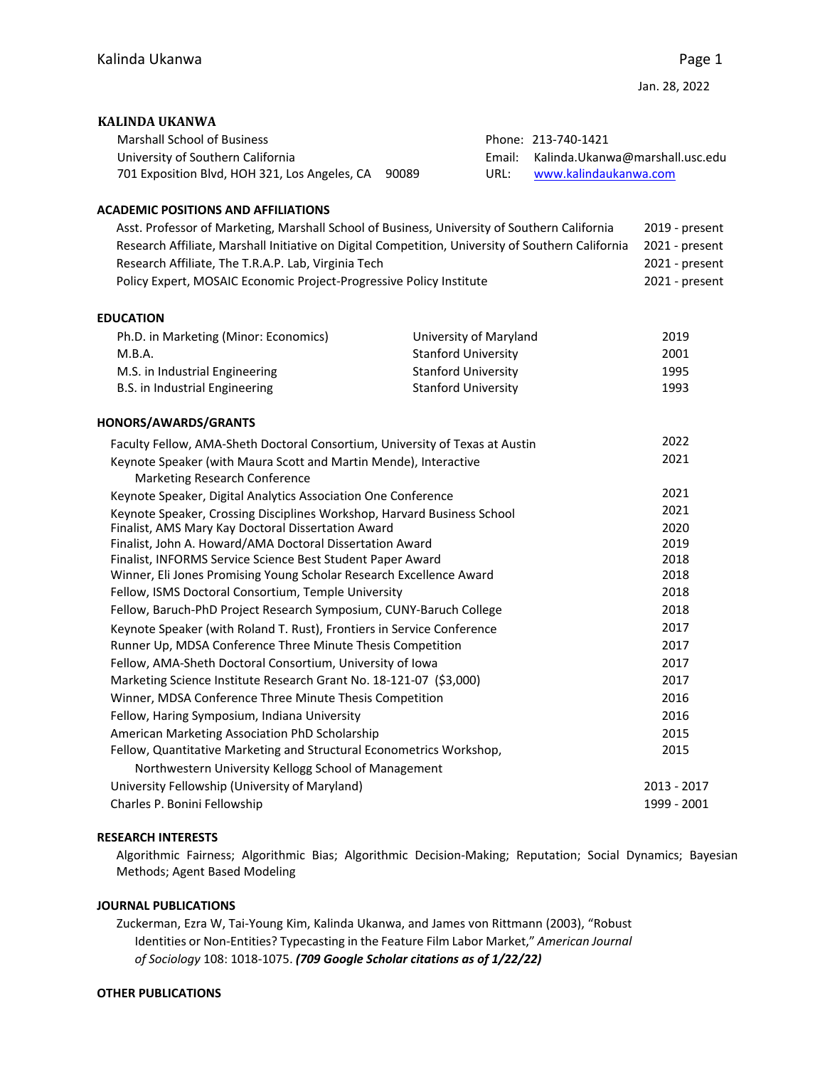## **KALINDA UKANWA**

| <b>Marshall School of Business</b>                  |      | Phone: 213-740-1421                    |
|-----------------------------------------------------|------|----------------------------------------|
| University of Southern California                   |      | Email: Kalinda.Ukanwa@marshall.usc.edu |
| 701 Exposition Blvd, HOH 321, Los Angeles, CA 90089 | URL: | www.kalindaukanwa.com                  |

# **ACADEMIC POSITIONS AND AFFILIATIONS**

| Asst. Professor of Marketing, Marshall School of Business, University of Southern California      | 2019 - present |
|---------------------------------------------------------------------------------------------------|----------------|
| Research Affiliate, Marshall Initiative on Digital Competition, University of Southern California | 2021 - present |
| Research Affiliate, The T.R.A.P. Lab, Virginia Tech                                               | 2021 - present |
| Policy Expert, MOSAIC Economic Project-Progressive Policy Institute                               | 2021 - present |

## **EDUCATION**

| University of Maryland     | 2019 |
|----------------------------|------|
| <b>Stanford University</b> | 2001 |
| <b>Stanford University</b> | 1995 |
| Stanford University        | 1993 |
|                            |      |

## **HONORS/AWARDS/GRANTS**

| Faculty Fellow, AMA-Sheth Doctoral Consortium, University of Texas at Austin | 2022        |
|------------------------------------------------------------------------------|-------------|
| Keynote Speaker (with Maura Scott and Martin Mende), Interactive             | 2021        |
| Marketing Research Conference                                                |             |
| Keynote Speaker, Digital Analytics Association One Conference                | 2021        |
| Keynote Speaker, Crossing Disciplines Workshop, Harvard Business School      | 2021        |
| Finalist, AMS Mary Kay Doctoral Dissertation Award                           | 2020        |
| Finalist, John A. Howard/AMA Doctoral Dissertation Award                     | 2019        |
| Finalist, INFORMS Service Science Best Student Paper Award                   | 2018        |
| Winner, Eli Jones Promising Young Scholar Research Excellence Award          | 2018        |
| Fellow, ISMS Doctoral Consortium, Temple University                          | 2018        |
| Fellow, Baruch-PhD Project Research Symposium, CUNY-Baruch College           | 2018        |
| Keynote Speaker (with Roland T. Rust), Frontiers in Service Conference       | 2017        |
| Runner Up, MDSA Conference Three Minute Thesis Competition                   | 2017        |
| Fellow, AMA-Sheth Doctoral Consortium, University of Iowa                    | 2017        |
| Marketing Science Institute Research Grant No. 18-121-07 (\$3,000)           | 2017        |
| Winner, MDSA Conference Three Minute Thesis Competition                      | 2016        |
| Fellow, Haring Symposium, Indiana University                                 | 2016        |
| American Marketing Association PhD Scholarship                               | 2015        |
| Fellow, Quantitative Marketing and Structural Econometrics Workshop,         | 2015        |
| Northwestern University Kellogg School of Management                         |             |
| University Fellowship (University of Maryland)                               | 2013 - 2017 |
| Charles P. Bonini Fellowship                                                 | 1999 - 2001 |
|                                                                              |             |

# **RESEARCH INTERESTS**

Algorithmic Fairness; Algorithmic Bias; Algorithmic Decision‐Making; Reputation; Social Dynamics; Bayesian Methods; Agent Based Modeling

#### **JOURNAL PUBLICATIONS**

Zuckerman, Ezra W, Tai‐Young Kim, Kalinda Ukanwa, and James von Rittmann (2003), "Robust Identities or Non‐Entities? Typecasting in the Feature Film Labor Market," *American Journal of Sociology* 108: 1018‐1075. *(709 Google Scholar citations as of 1/22/22)*

### **OTHER PUBLICATIONS**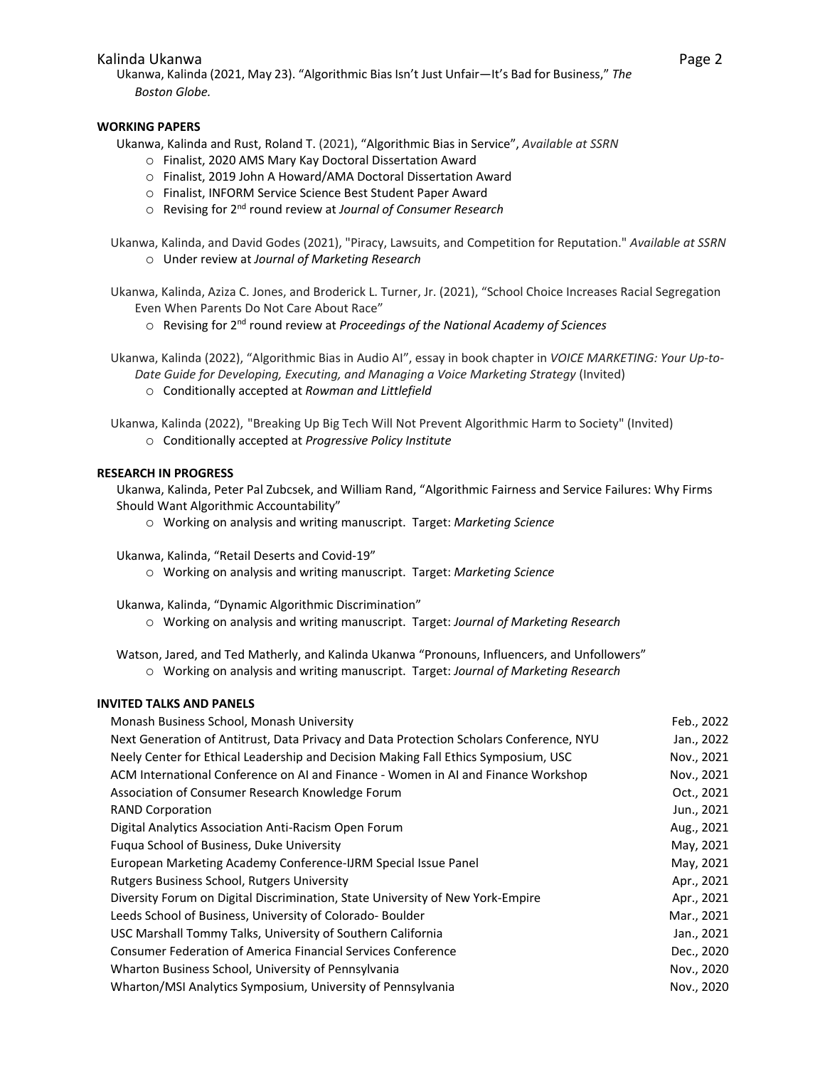## Kalinda Ukanwa Page 2 aka katika 1999, a samu na matsayin na matsayin na matsayin na matsayin na matsayin na m

Ukanwa, Kalinda (2021, May 23). "Algorithmic Bias Isn't Just Unfair—It's Bad for Business," *The Boston Globe.*

# **WORKING PAPERS**

Ukanwa, Kalinda and Rust, Roland T. (2021), "Algorithmic Bias in Service", *Available at SSRN*

- o Finalist, 2020 AMS Mary Kay Doctoral Dissertation Award
- o Finalist, 2019 John A Howard/AMA Doctoral Dissertation Award
- o Finalist, INFORM Service Science Best Student Paper Award
- o Revising for 2nd round review at *Journal of Consumer Research*
- Ukanwa, Kalinda, and David Godes (2021), "Piracy, Lawsuits, and Competition for Reputation." *Available at SSRN* o Under review at *Journal of Marketing Research*
- Ukanwa, Kalinda, Aziza C. Jones, and Broderick L. Turner, Jr. (2021), "School Choice Increases Racial Segregation Even When Parents Do Not Care About Race"
	- o Revising for 2nd round review at *Proceedings of the National Academy of Sciences*
- Ukanwa, Kalinda (2022), "Algorithmic Bias in Audio AI", essay in book chapter in *VOICE MARKETING: Your Up‐to‐ Date Guide for Developing, Executing, and Managing a Voice Marketing Strategy* (Invited)
	- o Conditionally accepted at *Rowman and Littlefield*
- Ukanwa, Kalinda (2022), "Breaking Up Big Tech Will Not Prevent Algorithmic Harm to Society" (Invited) o Conditionally accepted at *Progressive Policy Institute*

## **RESEARCH IN PROGRESS**

Ukanwa, Kalinda, Peter Pal Zubcsek, and William Rand, "Algorithmic Fairness and Service Failures: Why Firms Should Want Algorithmic Accountability"

- o Working on analysis and writing manuscript. Target: *Marketing Science*
- Ukanwa, Kalinda, "Retail Deserts and Covid‐19"
	- o Working on analysis and writing manuscript. Target: *Marketing Science*

Ukanwa, Kalinda, "Dynamic Algorithmic Discrimination"

o Working on analysis and writing manuscript. Target: *Journal of Marketing Research*

Watson, Jared, and Ted Matherly, and Kalinda Ukanwa "Pronouns, Influencers, and Unfollowers"

o Working on analysis and writing manuscript. Target: *Journal of Marketing Research*

#### **INVITED TALKS AND PANELS**

| Feb., 2022 |
|------------|
| Jan., 2022 |
| Nov., 2021 |
| Nov., 2021 |
| Oct., 2021 |
| Jun., 2021 |
| Aug., 2021 |
| May, 2021  |
| May, 2021  |
| Apr., 2021 |
| Apr., 2021 |
| Mar., 2021 |
| Jan., 2021 |
| Dec., 2020 |
| Nov., 2020 |
| Nov., 2020 |
|            |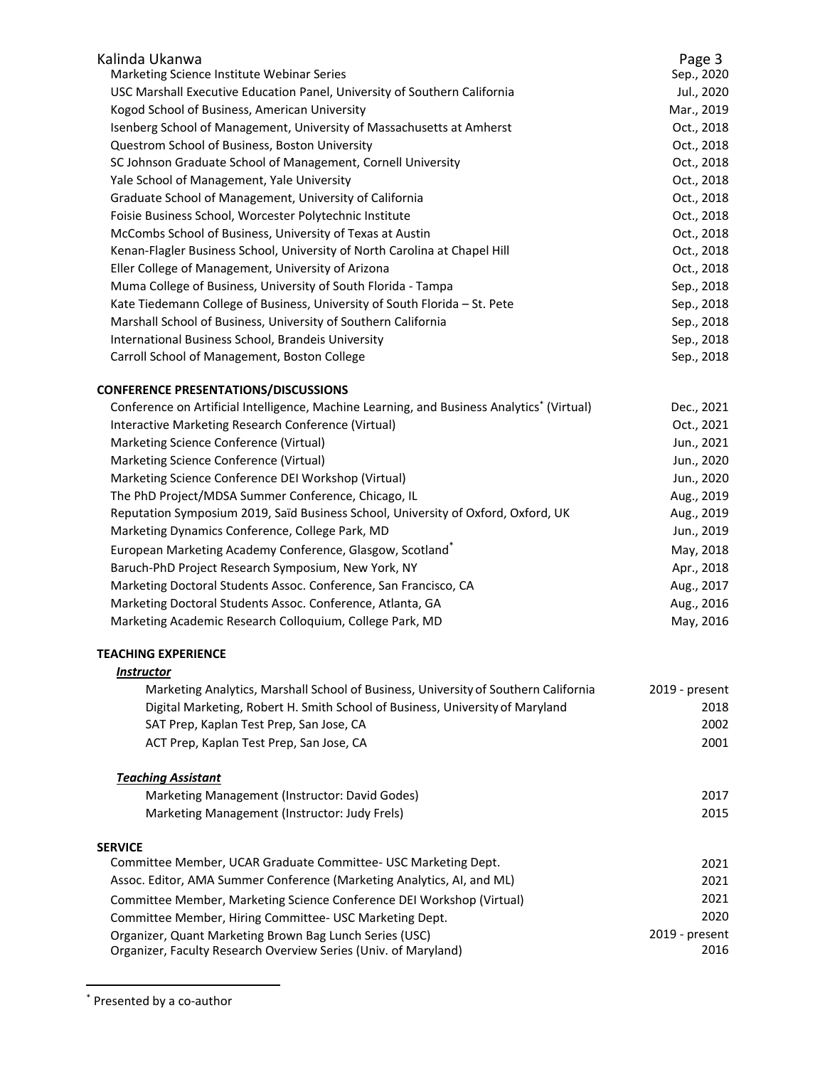| Kalinda Ukanwa<br>Marketing Science Institute Webinar Series<br>USC Marshall Executive Education Panel, University of Southern California<br>Kogod School of Business, American University<br>Isenberg School of Management, University of Massachusetts at Amherst<br>Questrom School of Business, Boston University<br>SC Johnson Graduate School of Management, Cornell University<br>Yale School of Management, Yale University<br>Graduate School of Management, University of California<br>Foisie Business School, Worcester Polytechnic Institute<br>McCombs School of Business, University of Texas at Austin<br>Kenan-Flagler Business School, University of North Carolina at Chapel Hill<br>Eller College of Management, University of Arizona<br>Muma College of Business, University of South Florida - Tampa<br>Kate Tiedemann College of Business, University of South Florida - St. Pete<br>Marshall School of Business, University of Southern California<br>International Business School, Brandeis University | Page 3<br>Sep., 2020<br>Jul., 2020<br>Mar., 2019<br>Oct., 2018<br>Oct., 2018<br>Oct., 2018<br>Oct., 2018<br>Oct., 2018<br>Oct., 2018<br>Oct., 2018<br>Oct., 2018<br>Oct., 2018<br>Sep., 2018<br>Sep., 2018<br>Sep., 2018<br>Sep., 2018 |
|-----------------------------------------------------------------------------------------------------------------------------------------------------------------------------------------------------------------------------------------------------------------------------------------------------------------------------------------------------------------------------------------------------------------------------------------------------------------------------------------------------------------------------------------------------------------------------------------------------------------------------------------------------------------------------------------------------------------------------------------------------------------------------------------------------------------------------------------------------------------------------------------------------------------------------------------------------------------------------------------------------------------------------------|----------------------------------------------------------------------------------------------------------------------------------------------------------------------------------------------------------------------------------------|
| Carroll School of Management, Boston College                                                                                                                                                                                                                                                                                                                                                                                                                                                                                                                                                                                                                                                                                                                                                                                                                                                                                                                                                                                      | Sep., 2018                                                                                                                                                                                                                             |
| <b>CONFERENCE PRESENTATIONS/DISCUSSIONS</b><br>Conference on Artificial Intelligence, Machine Learning, and Business Analytics <sup>*</sup> (Virtual)<br>Interactive Marketing Research Conference (Virtual)<br>Marketing Science Conference (Virtual)<br>Marketing Science Conference (Virtual)<br>Marketing Science Conference DEI Workshop (Virtual)<br>The PhD Project/MDSA Summer Conference, Chicago, IL<br>Reputation Symposium 2019, Saïd Business School, University of Oxford, Oxford, UK<br>Marketing Dynamics Conference, College Park, MD<br>European Marketing Academy Conference, Glasgow, Scotland*<br>Baruch-PhD Project Research Symposium, New York, NY<br>Marketing Doctoral Students Assoc. Conference, San Francisco, CA<br>Marketing Doctoral Students Assoc. Conference, Atlanta, GA<br>Marketing Academic Research Colloquium, College Park, MD<br><b>TEACHING EXPERIENCE</b><br><i><b>Instructor</b></i>                                                                                                | Dec., 2021<br>Oct., 2021<br>Jun., 2021<br>Jun., 2020<br>Jun., 2020<br>Aug., 2019<br>Aug., 2019<br>Jun., 2019<br>May, 2018<br>Apr., 2018<br>Aug., 2017<br>Aug., 2016<br>May, 2016                                                       |
| Marketing Analytics, Marshall School of Business, University of Southern California<br>Digital Marketing, Robert H. Smith School of Business, University of Maryland<br>SAT Prep, Kaplan Test Prep, San Jose, CA<br>ACT Prep, Kaplan Test Prep, San Jose, CA<br><b>Teaching Assistant</b><br>Marketing Management (Instructor: David Godes)                                                                                                                                                                                                                                                                                                                                                                                                                                                                                                                                                                                                                                                                                       | 2019 - present<br>2018<br>2002<br>2001<br>2017                                                                                                                                                                                         |
| Marketing Management (Instructor: Judy Frels)                                                                                                                                                                                                                                                                                                                                                                                                                                                                                                                                                                                                                                                                                                                                                                                                                                                                                                                                                                                     | 2015                                                                                                                                                                                                                                   |
| <b>SERVICE</b><br>Committee Member, UCAR Graduate Committee- USC Marketing Dept.<br>Assoc. Editor, AMA Summer Conference (Marketing Analytics, AI, and ML)<br>Committee Member, Marketing Science Conference DEI Workshop (Virtual)<br>Committee Member, Hiring Committee- USC Marketing Dept.<br>Organizer, Quant Marketing Brown Bag Lunch Series (USC)<br>Organizer, Faculty Research Overview Series (Univ. of Maryland)                                                                                                                                                                                                                                                                                                                                                                                                                                                                                                                                                                                                      | 2021<br>2021<br>2021<br>2020<br>2019 - present<br>2016                                                                                                                                                                                 |

<sup>\*</sup> Presented by a co‐author